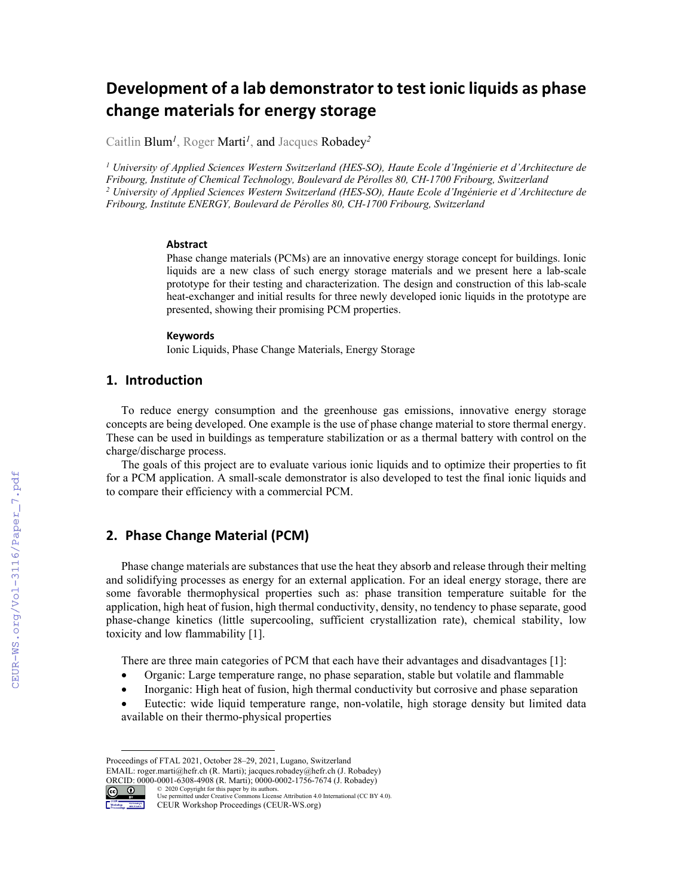# **Development of a lab demonstrator to test ionic liquids as phase change materials for energy storage**

Caitlin Blum*<sup>1</sup>*, Roger Marti*<sup>1</sup>*, and Jacques Robadey*<sup>2</sup>*

*1 University of Applied Sciences Western Switzerland (HES-SO), Haute Ecole d'Ingénierie et d'Architecture de Fribourg, Institute of Chemical Technology, Boulevard de Pérolles 80, CH-1700 Fribourg, Switzerland 2 University of Applied Sciences Western Switzerland (HES-SO), Haute Ecole d'Ingénierie et d'Architecture de Fribourg, Institute ENERGY, Boulevard de Pérolles 80, CH-1700 Fribourg, Switzerland* 

#### **Abstract**

Phase change materials (PCMs) are an innovative energy storage concept for buildings. Ionic liquids are a new class of such energy storage materials and we present here a lab-scale prototype for their testing and characterization. The design and construction of this lab-scale heat-exchanger and initial results for three newly developed ionic liquids in the prototype are presented, showing their promising PCM properties.

#### **Keywords 1**

Ionic Liquids, Phase Change Materials, Energy Storage

## **1. Introduction**

To reduce energy consumption and the greenhouse gas emissions, innovative energy storage concepts are being developed. One example is the use of phase change material to store thermal energy. These can be used in buildings as temperature stabilization or as a thermal battery with control on the charge/discharge process.

The goals of this project are to evaluate various ionic liquids and to optimize their properties to fit for a PCM application. A small-scale demonstrator is also developed to test the final ionic liquids and to compare their efficiency with a commercial PCM.

# **2. Phase Change Material (PCM)**

Phase change materials are substances that use the heat they absorb and release through their melting and solidifying processes as energy for an external application. For an ideal energy storage, there are some favorable thermophysical properties such as: phase transition temperature suitable for the application, high heat of fusion, high thermal conductivity, density, no tendency to phase separate, good phase-change kinetics (little supercooling, sufficient crystallization rate), chemical stability, low toxicity and low flammability [1].

There are three main categories of PCM that each have their advantages and disadvantages [1]:

- Organic: Large temperature range, no phase separation, stable but volatile and flammable
- Inorganic: High heat of fusion, high thermal conductivity but corrosive and phase separation
- Eutectic: wide liquid temperature range, non-volatile, high storage density but limited data available on their thermo-physical properties

Proceedings of FTAL 2021, October 28–29, 2021, Lugano, Switzerland EMAIL: roger.marti@hefr.ch (R. Marti); jacques.robadey@hefr.ch (J. Robadey) ORCID: 0000-0001-6308-4908 (R. Marti); 0000-0002-1756-7674 (J. Robadey)

 $\odot$ © 2020 Copyright for this paper by its authors. Use permitted under Creative Commons License Attribution 4.0 International (CC BY 4.0).

CEUR Workshop Proceedings (CEUR-WS.org) Workshop Materialen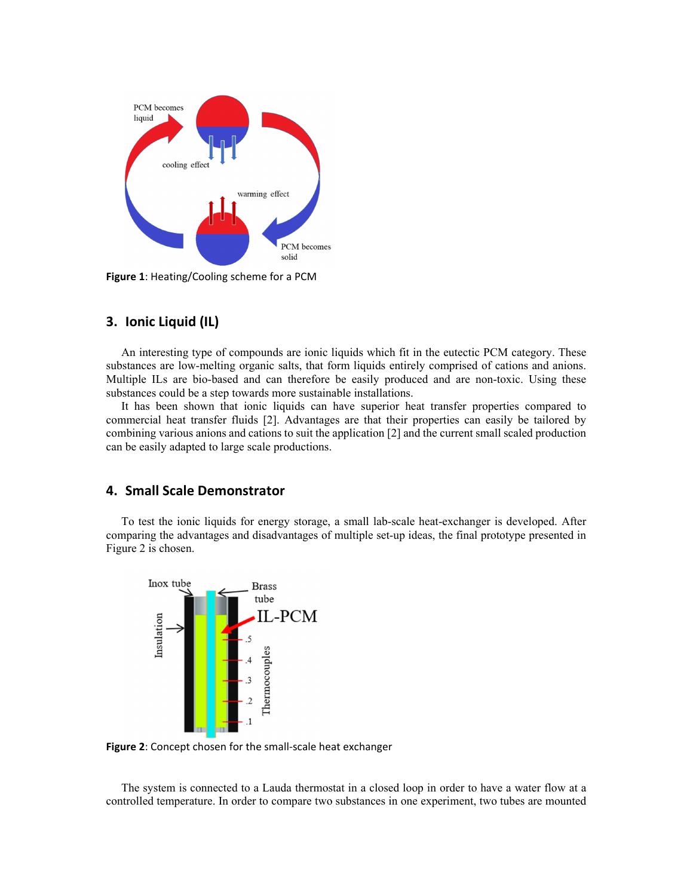

**Figure 1**: Heating/Cooling scheme for a PCM

## **3. Ionic Liquid (IL)**

An interesting type of compounds are ionic liquids which fit in the eutectic PCM category. These substances are low-melting organic salts, that form liquids entirely comprised of cations and anions. Multiple ILs are bio-based and can therefore be easily produced and are non-toxic. Using these substances could be a step towards more sustainable installations.

It has been shown that ionic liquids can have superior heat transfer properties compared to commercial heat transfer fluids [2]. Advantages are that their properties can easily be tailored by combining various anions and cations to suit the application [2] and the current small scaled production can be easily adapted to large scale productions.

#### **4. Small Scale Demonstrator**

To test the ionic liquids for energy storage, a small lab-scale heat-exchanger is developed. After comparing the advantages and disadvantages of multiple set-up ideas, the final prototype presented in Figure 2 is chosen.



**Figure 2**: Concept chosen for the small‐scale heat exchanger

The system is connected to a Lauda thermostat in a closed loop in order to have a water flow at a controlled temperature. In order to compare two substances in one experiment, two tubes are mounted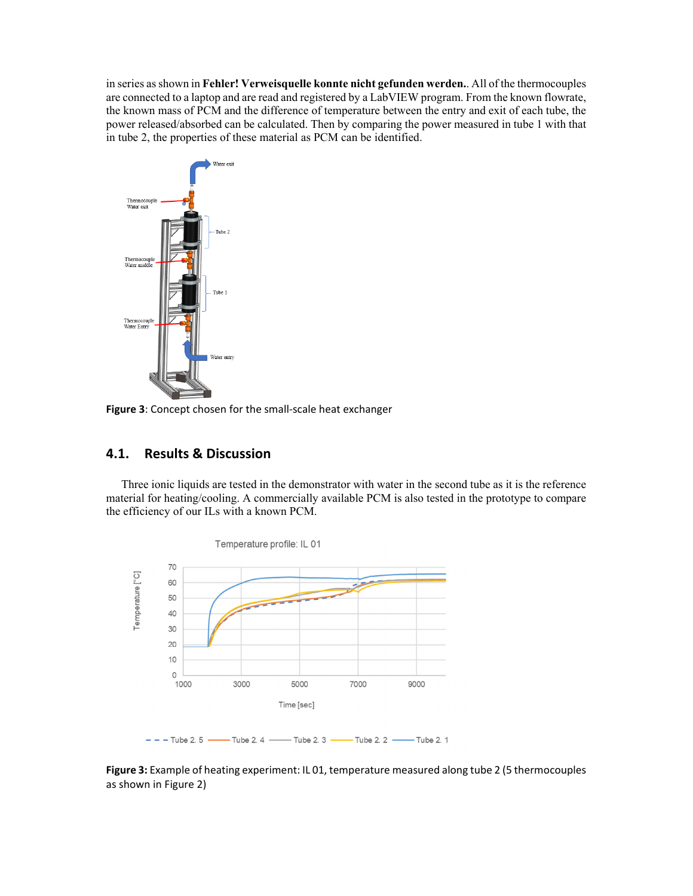in series as shown in **Fehler! Verweisquelle konnte nicht gefunden werden.**. All of the thermocouples are connected to a laptop and are read and registered by a LabVIEW program. From the known flowrate, the known mass of PCM and the difference of temperature between the entry and exit of each tube, the power released/absorbed can be calculated. Then by comparing the power measured in tube 1 with that in tube 2, the properties of these material as PCM can be identified.



**Figure 3**: Concept chosen for the small‐scale heat exchanger

# **4.1. Results & Discussion**

Three ionic liquids are tested in the demonstrator with water in the second tube as it is the reference material for heating/cooling. A commercially available PCM is also tested in the prototype to compare the efficiency of our ILs with a known PCM.



**Figure 3:** Example of heating experiment: IL 01, temperature measured along tube 2 (5 thermocouples as shown in Figure 2)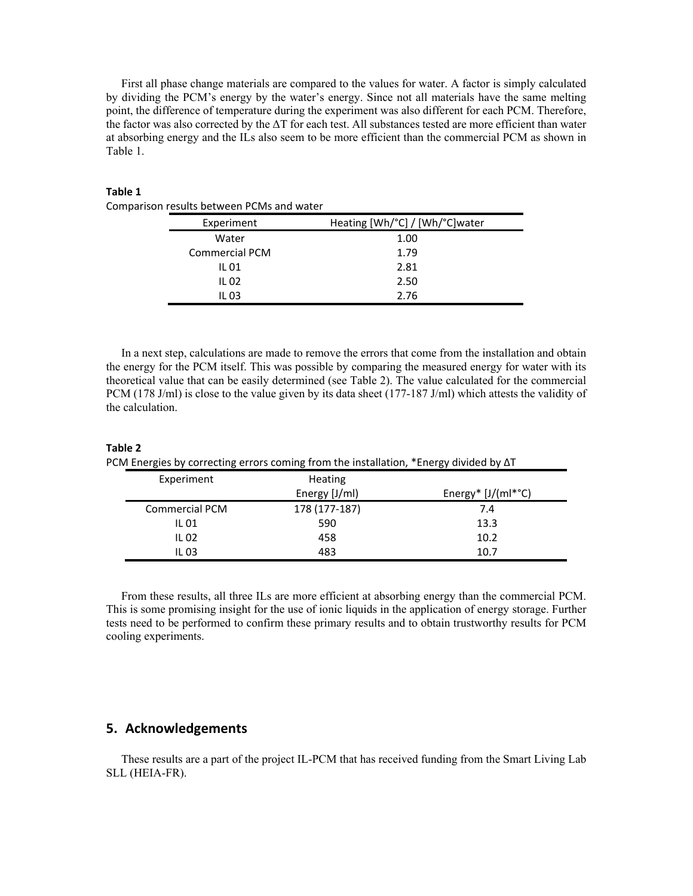First all phase change materials are compared to the values for water. A factor is simply calculated by dividing the PCM's energy by the water's energy. Since not all materials have the same melting point, the difference of temperature during the experiment was also different for each PCM. Therefore, the factor was also corrected by the ΔT for each test. All substances tested are more efficient than water at absorbing energy and the ILs also seem to be more efficient than the commercial PCM as shown in Table 1.

#### **Table 1**

| Experiment            | Heating [Wh/°C] / [Wh/°C]water |  |
|-----------------------|--------------------------------|--|
| Water                 | 1.00                           |  |
| <b>Commercial PCM</b> | 1.79                           |  |
| IL 01                 | 2.81                           |  |
| IL 02                 | 2.50                           |  |
| IL 03                 | 2 76                           |  |

In a next step, calculations are made to remove the errors that come from the installation and obtain the energy for the PCM itself. This was possible by comparing the measured energy for water with its theoretical value that can be easily determined (see Table 2). The value calculated for the commercial PCM (178 J/ml) is close to the value given by its data sheet (177-187 J/ml) which attests the validity of the calculation.

| ${\mathbb C}{\mathsf M}$ Energies by correcting errors coming from the installation, *Energy divided by $\Delta {\mathsf D}$ |                       |                |                                   |
|------------------------------------------------------------------------------------------------------------------------------|-----------------------|----------------|-----------------------------------|
|                                                                                                                              | Experiment            | <b>Heating</b> |                                   |
|                                                                                                                              |                       | Energy [J/ml)  | Energy* $[J/(ml^{\ast}^{\circ}C)$ |
|                                                                                                                              | <b>Commercial PCM</b> | 178 (177-187)  | 7.4                               |
|                                                                                                                              | IL 01                 | 590            | 13.3                              |
|                                                                                                                              | IL 02                 | 458            | 10.2                              |
|                                                                                                                              | IL 03                 | 483            | 10.7                              |

**Table 2** PCM Energies by correcting errors coming from the installation, \*Energy divided by ΔT

From these results, all three ILs are more efficient at absorbing energy than the commercial PCM. This is some promising insight for the use of ionic liquids in the application of energy storage. Further tests need to be performed to confirm these primary results and to obtain trustworthy results for PCM cooling experiments.

## **5. Acknowledgements**

These results are a part of the project IL-PCM that has received funding from the Smart Living Lab SLL (HEIA-FR).